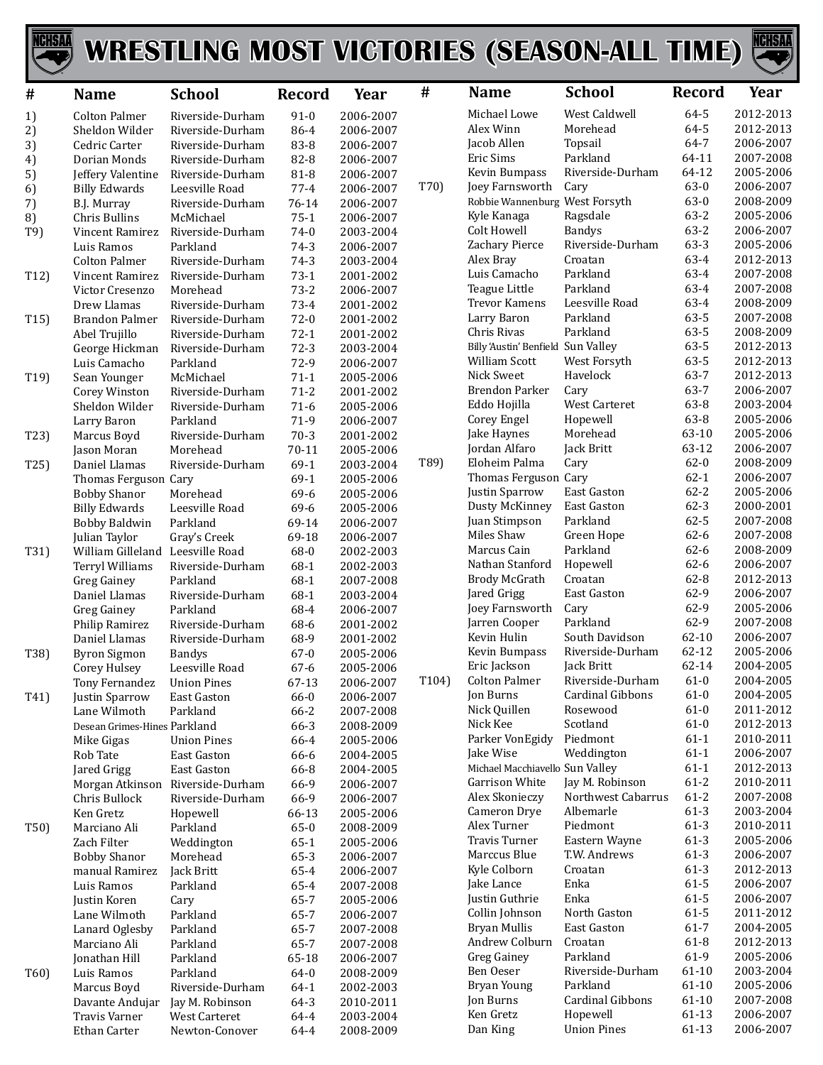

## WRESTLING MOST VICTORIES (SEASON-ALL TIME)



| #                 | <b>Name</b>                                 | <b>School</b>                    | Record           | Year                   | #     | <b>Name</b>                          | <b>School</b>                  | Record             | Year                   |
|-------------------|---------------------------------------------|----------------------------------|------------------|------------------------|-------|--------------------------------------|--------------------------------|--------------------|------------------------|
| 1)                | <b>Colton Palmer</b>                        | Riverside-Durham                 | $91 - 0$         | 2006-2007              |       | Michael Lowe                         | West Caldwell                  | 64-5               | 2012-2013              |
| 2)                | Sheldon Wilder                              | Riverside-Durham                 | 86-4             | 2006-2007              |       | Alex Winn                            | Morehead                       | 64-5               | 2012-2013              |
| 3)                | Cedric Carter                               | Riverside-Durham                 | 83-8             | 2006-2007              |       | Jacob Allen                          | Topsail                        | 64-7               | 2006-2007              |
| 4)                | Dorian Monds                                | Riverside-Durham                 | 82-8             | 2006-2007              |       | Eric Sims                            | Parkland                       | 64-11              | 2007-2008              |
| 5)                | Jeffery Valentine                           | Riverside-Durham                 | 81-8             | 2006-2007              |       | Kevin Bumpass                        | Riverside-Durham               | 64-12              | 2005-2006              |
| 6)                | <b>Billy Edwards</b>                        | Leesville Road                   | $77 - 4$         | 2006-2007              | T70)  | Joey Farnsworth                      | Cary                           | $63-0$             | 2006-2007              |
| 7)                | B.J. Murray                                 | Riverside-Durham                 | 76-14            | 2006-2007              |       | Robbie Wannenburg West Forsyth       |                                | $63 - 0$           | 2008-2009              |
| 8)                | Chris Bullins                               | McMichael                        | $75-1$           | 2006-2007              |       | Kyle Kanaga<br>Colt Howell           | Ragsdale<br><b>Bandys</b>      | 63-2<br>$63 - 2$   | 2005-2006<br>2006-2007 |
| T9)               | Vincent Ramirez<br>Luis Ramos               | Riverside-Durham                 | $74-0$           | 2003-2004<br>2006-2007 |       | Zachary Pierce                       | Riverside-Durham               | $63 - 3$           | 2005-2006              |
|                   | <b>Colton Palmer</b>                        | Parkland<br>Riverside-Durham     | $74-3$<br>$74-3$ | 2003-2004              |       | Alex Bray                            | Croatan                        | 63-4               | 2012-2013              |
| T12)              | Vincent Ramirez                             | Riverside-Durham                 | $73-1$           | 2001-2002              |       | Luis Camacho                         | Parkland                       | 63-4               | 2007-2008              |
|                   | Victor Cresenzo                             | Morehead                         | $73 - 2$         | 2006-2007              |       | Teague Little                        | Parkland                       | 63-4               | 2007-2008              |
|                   | Drew Llamas                                 | Riverside-Durham                 | 73-4             | 2001-2002              |       | Trevor Kamens                        | Leesville Road                 | 63-4               | 2008-2009              |
| T15               | Brandon Palmer                              | Riverside-Durham                 | $72-0$           | 2001-2002              |       | Larry Baron                          | Parkland                       | 63-5               | 2007-2008              |
|                   | Abel Trujillo                               | Riverside-Durham                 | $72-1$           | 2001-2002              |       | Chris Rivas                          | Parkland                       | 63-5               | 2008-2009              |
|                   | George Hickman                              | Riverside-Durham                 | $72-3$           | 2003-2004              |       | Billy 'Austin' Benfield Sun Valley   |                                | 63-5               | 2012-2013              |
|                   | Luis Camacho                                | Parkland                         | 72-9             | 2006-2007              |       | <b>William Scott</b>                 | West Forsyth                   | 63-5               | 2012-2013              |
| T19)              | Sean Younger                                | McMichael                        | $71-1$           | 2005-2006              |       | Nick Sweet                           | Havelock                       | 63-7               | 2012-2013              |
|                   | Corey Winston                               | Riverside-Durham                 | $71 - 2$         | 2001-2002              |       | <b>Brendon Parker</b>                | Cary                           | 63-7               | 2006-2007              |
|                   | Sheldon Wilder                              | Riverside-Durham                 | $71-6$           | 2005-2006              |       | Eddo Hojilla                         | <b>West Carteret</b>           | 63-8               | 2003-2004              |
|                   | Larry Baron                                 | Parkland                         | 71-9             | 2006-2007              |       | Corey Engel                          | Hopewell                       | 63-8               | 2005-2006              |
| T23)              | Marcus Boyd                                 | Riverside-Durham                 | $70-3$           | 2001-2002              |       | Jake Haynes                          | Morehead                       | 63-10              | 2005-2006              |
|                   | Jason Moran                                 | Morehead                         | $70 - 11$        | 2005-2006              | T89)  | Jordan Alfaro<br>Eloheim Palma       | Jack Britt<br>Cary             | 63-12<br>$62 - 0$  | 2006-2007<br>2008-2009 |
| T25)              | Daniel Llamas                               | Riverside-Durham                 | 69-1<br>$69-1$   | 2003-2004              |       | Thomas Ferguson Cary                 |                                | $62 - 1$           | 2006-2007              |
|                   | Thomas Ferguson Cary<br><b>Bobby Shanor</b> | Morehead                         | 69-6             | 2005-2006<br>2005-2006 |       | Justin Sparrow                       | East Gaston                    | $62 - 2$           | 2005-2006              |
|                   | <b>Billy Edwards</b>                        | Leesville Road                   | 69-6             | 2005-2006              |       | Dusty McKinney                       | East Gaston                    | $62 - 3$           | 2000-2001              |
|                   | <b>Bobby Baldwin</b>                        | Parkland                         | 69-14            | 2006-2007              |       | Juan Stimpson                        | Parkland                       | $62 - 5$           | 2007-2008              |
|                   | Julian Taylor                               | Gray's Creek                     | 69-18            | 2006-2007              |       | Miles Shaw                           | Green Hope                     | $62 - 6$           | 2007-2008              |
| T31)              | William Gilleland                           | Leesville Road                   | 68-0             | 2002-2003              |       | Marcus Cain                          | Parkland                       | $62 - 6$           | 2008-2009              |
|                   | Terryl Williams                             | Riverside-Durham                 | 68-1             | 2002-2003              |       | Nathan Stanford                      | Hopewell                       | $62 - 6$           | 2006-2007              |
|                   | <b>Greg Gainey</b>                          | Parkland                         | 68-1             | 2007-2008              |       | Brody McGrath                        | Croatan                        | $62 - 8$           | 2012-2013              |
|                   | Daniel Llamas                               | Riverside-Durham                 | 68-1             | 2003-2004              |       | Jared Grigg                          | East Gaston                    | 62-9               | 2006-2007              |
|                   | <b>Greg Gainey</b>                          | Parkland                         | 68-4             | 2006-2007              |       | Joey Farnsworth                      | Cary                           | 62-9               | 2005-2006              |
|                   | Philip Ramirez                              | Riverside-Durham                 | 68-6             | 2001-2002              |       | Jarren Cooper                        | Parkland                       | 62-9               | 2007-2008              |
|                   | Daniel Llamas                               | Riverside-Durham                 | 68-9             | 2001-2002              |       | Kevin Hulin                          | South Davidson                 | $62 - 10$          | 2006-2007              |
| T38)              | <b>Byron Sigmon</b>                         | <b>Bandys</b>                    | $67 - 0$         | 2005-2006              |       | Kevin Bumpass                        | Riverside-Durham               | 62-12              | 2005-2006              |
|                   | Corey Hulsey                                | Leesville Road                   | $67 - 6$         | 2005-2006              | T104) | Eric Jackson<br><b>Colton Palmer</b> | Jack Britt<br>Riverside-Durham | 62-14<br>$61 - 0$  | 2004-2005<br>2004-2005 |
|                   | Tony Fernandez                              | <b>Union Pines</b>               | 67-13<br>66-0    | 2006-2007              |       | Jon Burns                            | Cardinal Gibbons               | $61 - 0$           | 2004-2005              |
| T41)              | Justin Sparrow<br>Lane Wilmoth              | East Gaston<br>Parkland          | 66-2             | 2006-2007<br>2007-2008 |       | Nick Quillen                         | Rosewood                       | $61 - 0$           | 2011-2012              |
|                   | Desean Grimes-Hines Parkland                |                                  | 66-3             | 2008-2009              |       | Nick Kee                             | Scotland                       | $61 - 0$           | 2012-2013              |
|                   | Mike Gigas                                  | <b>Union Pines</b>               | 66-4             | 2005-2006              |       | Parker VonEgidy                      | Piedmont                       | $61-1$             | 2010-2011              |
|                   | Rob Tate                                    | East Gaston                      | 66-6             | 2004-2005              |       | Jake Wise                            | Weddington                     | $61-1$             | 2006-2007              |
|                   | Jared Grigg                                 | East Gaston                      | 66-8             | 2004-2005              |       | Michael Macchiavello Sun Valley      |                                | $61-1$             | 2012-2013              |
|                   |                                             | Morgan Atkinson Riverside-Durham | 66-9             | 2006-2007              |       | Garrison White                       | Jay M. Robinson                | $61 - 2$           | 2010-2011              |
|                   | Chris Bullock                               | Riverside-Durham                 | 66-9             | 2006-2007              |       | Alex Skonieczy                       | Northwest Cabarrus             | $61 - 2$           | 2007-2008              |
|                   | Ken Gretz                                   | Hopewell                         | 66-13            | 2005-2006              |       | Cameron Drye                         | Albemarle                      | $61-3$             | 2003-2004              |
| T50)              | Marciano Ali                                | Parkland                         | $65-0$           | 2008-2009              |       | Alex Turner                          | Piedmont                       | $61-3$             | 2010-2011              |
|                   | Zach Filter                                 | Weddington                       | $65-1$           | 2005-2006              |       | Travis Turner                        | Eastern Wayne                  | $61-3$             | 2005-2006              |
|                   | <b>Bobby Shanor</b>                         | Morehead                         | 65-3             | 2006-2007              |       | Marccus Blue                         | T.W. Andrews                   | $61-3$             | 2006-2007              |
|                   | manual Ramirez                              | Jack Britt                       | 65-4             | 2006-2007              |       | Kyle Colborn                         | Croatan                        | $61-3$<br>$61 - 5$ | 2012-2013              |
|                   | Luis Ramos                                  | Parkland                         | 65-4             | 2007-2008              |       | Jake Lance<br>Justin Guthrie         | Enka<br>Enka                   | $61 - 5$           | 2006-2007<br>2006-2007 |
|                   | Justin Koren                                | Cary<br>Parkland                 | 65-7<br>65-7     | 2005-2006              |       | Collin Johnson                       | North Gaston                   | $61 - 5$           | 2011-2012              |
|                   | Lane Wilmoth<br>Lanard Oglesby              | Parkland                         | 65-7             | 2006-2007<br>2007-2008 |       | Bryan Mullis                         | East Gaston                    | $61 - 7$           | 2004-2005              |
|                   | Marciano Ali                                | Parkland                         | 65-7             | 2007-2008              |       | Andrew Colburn                       | Croatan                        | 61-8               | 2012-2013              |
|                   | Jonathan Hill                               | Parkland                         | 65-18            | 2006-2007              |       | <b>Greg Gainey</b>                   | Parkland                       | 61-9               | 2005-2006              |
| T <sub>60</sub> ) | Luis Ramos                                  | Parkland                         | 64-0             | 2008-2009              |       | Ben Oeser                            | Riverside-Durham               | 61-10              | 2003-2004              |
|                   | Marcus Boyd                                 | Riverside-Durham                 | $64 - 1$         | 2002-2003              |       | <b>Bryan Young</b>                   | Parkland                       | $61 - 10$          | 2005-2006              |
|                   | Davante Andujar                             | Jay M. Robinson                  | 64-3             | 2010-2011              |       | Jon Burns                            | Cardinal Gibbons               | 61-10              | 2007-2008              |
|                   | Travis Varner                               | <b>West Carteret</b>             | $64 - 4$         | 2003-2004              |       | Ken Gretz                            | Hopewell                       | 61-13              | 2006-2007              |
|                   | Ethan Carter                                | Newton-Conover                   | 64-4             | 2008-2009              |       | Dan King                             | <b>Union Pines</b>             | 61-13              | 2006-2007              |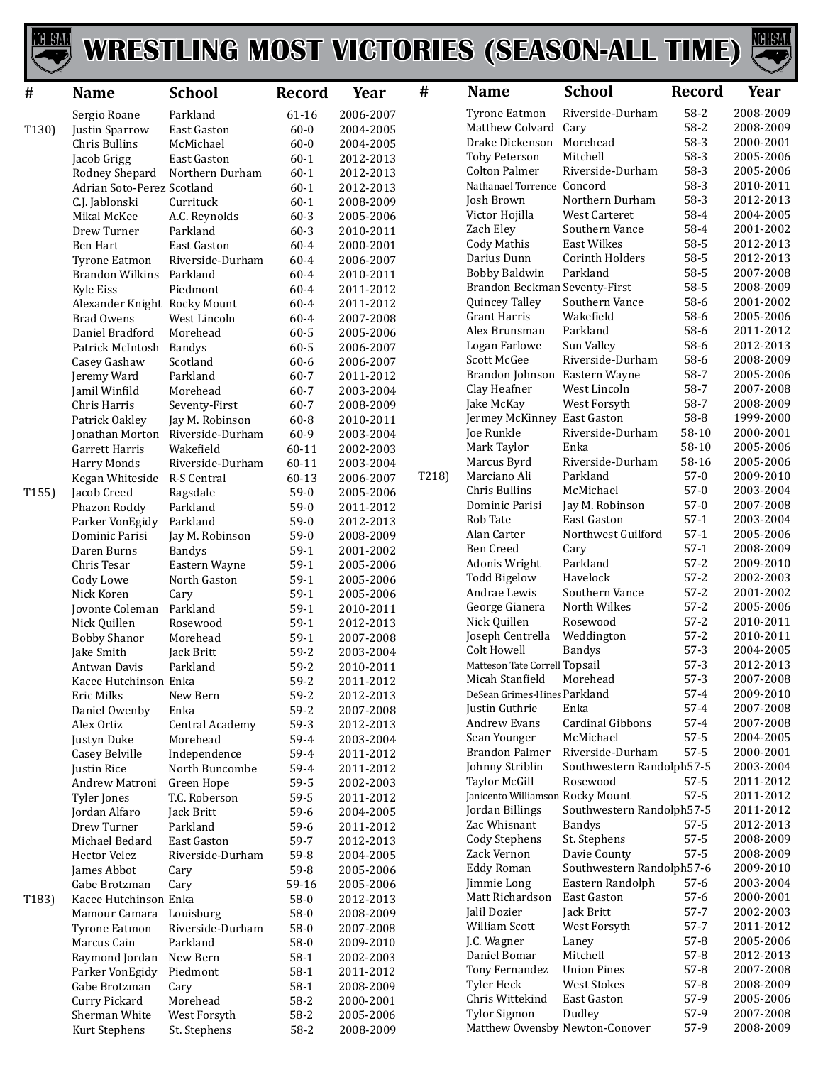

## WRESTLING MOST VICTORIES (SEASON-ALL TIME)



| #                  | <b>Name</b>                             | <b>School</b>                    | <b>Record</b>        | Year                   | #     | <b>Name</b>                           | <b>School</b>                         | <b>Record</b>        | Year                   |
|--------------------|-----------------------------------------|----------------------------------|----------------------|------------------------|-------|---------------------------------------|---------------------------------------|----------------------|------------------------|
|                    | Sergio Roane                            | Parkland                         | 61-16                | 2006-2007              |       | <b>Tyrone Eatmon</b>                  | Riverside-Durham                      | $58-2$               | 2008-2009              |
| T130)              | Justin Sparrow                          | East Gaston                      | $60 - 0$             | 2004-2005              |       | Matthew Colvard                       | Cary                                  | 58-2                 | 2008-2009              |
|                    | Chris Bullins                           | McMichael                        | $60 - 0$             | 2004-2005              |       | Drake Dickenson                       | Morehead                              | 58-3                 | 2000-2001              |
|                    | Jacob Grigg                             | <b>East Gaston</b>               | $60 - 1$             | 2012-2013              |       | <b>Toby Peterson</b>                  | Mitchell                              | 58-3                 | 2005-2006              |
|                    | Rodney Shepard                          | Northern Durham                  | $60 - 1$             | 2012-2013              |       | <b>Colton Palmer</b>                  | Riverside-Durham                      | 58-3                 | 2005-2006              |
|                    | Adrian Soto-Perez Scotland              |                                  | $60 - 1$             | 2012-2013              |       | Nathanael Torrence Concord            |                                       | 58-3                 | 2010-2011              |
|                    | C.J. Jablonski                          | Currituck                        | $60 - 1$             | 2008-2009              |       | Josh Brown                            | Northern Durham                       | $58-3$               | 2012-2013              |
|                    | Mikal McKee                             | A.C. Reynolds                    | $60 - 3$             | 2005-2006              |       | Victor Hojilla                        | <b>West Carteret</b>                  | 58-4                 | 2004-2005              |
|                    | Drew Turner                             | Parkland                         | $60 - 3$             | 2010-2011              |       | Zach Eley                             | Southern Vance<br><b>East Wilkes</b>  | 58-4<br>58-5         | 2001-2002              |
|                    | <b>Ben Hart</b>                         | East Gaston                      | $60 - 4$             | 2000-2001              |       | Cody Mathis<br>Darius Dunn            | <b>Corinth Holders</b>                | 58-5                 | 2012-2013<br>2012-2013 |
|                    | Tyrone Eatmon<br><b>Brandon Wilkins</b> | Riverside-Durham                 | $60 - 4$             | 2006-2007              |       | Bobby Baldwin                         | Parkland                              | 58-5                 | 2007-2008              |
|                    | <b>Kyle Eiss</b>                        | Parkland<br>Piedmont             | $60 - 4$<br>$60 - 4$ | 2010-2011<br>2011-2012 |       | Brandon Beckman Seventy-First         |                                       | 58-5                 | 2008-2009              |
|                    | Alexander Knight Rocky Mount            |                                  | $60 - 4$             | 2011-2012              |       | Quincey Talley                        | Southern Vance                        | 58-6                 | 2001-2002              |
|                    | <b>Brad Owens</b>                       | West Lincoln                     | $60 - 4$             | 2007-2008              |       | Grant Harris                          | Wakefield                             | 58-6                 | 2005-2006              |
|                    | Daniel Bradford                         | Morehead                         | $60 - 5$             | 2005-2006              |       | Alex Brunsman                         | Parkland                              | 58-6                 | 2011-2012              |
|                    | Patrick McIntosh                        | Bandys                           | 60-5                 | 2006-2007              |       | Logan Farlowe                         | Sun Valley                            | 58-6                 | 2012-2013              |
|                    | Casey Gashaw                            | Scotland                         | $60 - 6$             | 2006-2007              |       | Scott McGee                           | Riverside-Durham                      | 58-6                 | 2008-2009              |
|                    | Jeremy Ward                             | Parkland                         | $60 - 7$             | 2011-2012              |       | Brandon Johnson Eastern Wayne         |                                       | 58-7                 | 2005-2006              |
|                    | Jamil Winfild                           | Morehead                         | $60 - 7$             | 2003-2004              |       | Clay Heafner                          | West Lincoln                          | 58-7                 | 2007-2008              |
|                    | Chris Harris                            | Seventy-First                    | $60 - 7$             | 2008-2009              |       | Jake McKay                            | West Forsyth                          | 58-7                 | 2008-2009              |
|                    | Patrick Oakley                          | Jay M. Robinson                  | $60 - 8$             | 2010-2011              |       | Jermey McKinney East Gaston           |                                       | 58-8                 | 1999-2000              |
|                    | Jonathan Morton                         | Riverside-Durham                 | 60-9                 | 2003-2004              |       | Joe Runkle                            | Riverside-Durham                      | 58-10                | 2000-2001              |
|                    | Garrett Harris                          | Wakefield                        | $60 - 11$            | 2002-2003              |       | Mark Taylor                           | Enka                                  | 58-10                | 2005-2006              |
|                    | <b>Harry Monds</b>                      | Riverside-Durham                 | $60 - 11$            | 2003-2004              |       | Marcus Byrd                           | Riverside-Durham                      | 58-16                | 2005-2006              |
|                    | Kegan Whiteside                         | R-S Central                      | 60-13                | 2006-2007              | T218) | Marciano Ali                          | Parkland                              | $57-0$               | 2009-2010              |
| T155)              | Jacob Creed                             | Ragsdale                         | $59-0$               | 2005-2006              |       | Chris Bullins                         | McMichael                             | $57-0$<br>$57-0$     | 2003-2004              |
|                    | Phazon Roddy                            | Parkland                         | $59-0$               | 2011-2012              |       | Dominic Parisi<br>Rob Tate            | Jay M. Robinson<br><b>East Gaston</b> | $57-1$               | 2007-2008<br>2003-2004 |
|                    | Parker VonEgidy                         | Parkland                         | $59-0$               | 2012-2013              |       | Alan Carter                           | Northwest Guilford                    | $57-1$               | 2005-2006              |
|                    | Dominic Parisi<br>Daren Burns           | Jay M. Robinson<br><b>Bandys</b> | $59-0$<br>$59-1$     | 2008-2009<br>2001-2002 |       | Ben Creed                             | Cary                                  | $57-1$               | 2008-2009              |
|                    | Chris Tesar                             | Eastern Wayne                    | $59-1$               | 2005-2006              |       | Adonis Wright                         | Parkland                              | $57 - 2$             | 2009-2010              |
|                    | Cody Lowe                               | North Gaston                     | $59-1$               | 2005-2006              |       | <b>Todd Bigelow</b>                   | Havelock                              | $57-2$               | 2002-2003              |
|                    | Nick Koren                              | Cary                             | $59-1$               | 2005-2006              |       | Andrae Lewis                          | Southern Vance                        | $57 - 2$             | 2001-2002              |
|                    | Jovonte Coleman                         | Parkland                         | $59-1$               | 2010-2011              |       | George Gianera                        | North Wilkes                          | $57 - 2$             | 2005-2006              |
|                    | Nick Quillen                            | Rosewood                         | $59-1$               | 2012-2013              |       | Nick Quillen                          | Rosewood                              | $57 - 2$             | 2010-2011              |
|                    | <b>Bobby Shanor</b>                     | Morehead                         | $59-1$               | 2007-2008              |       | Joseph Centrella                      | Weddington                            | $57 - 2$             | 2010-2011              |
|                    | Jake Smith                              | Jack Britt                       | $59-2$               | 2003-2004              |       | Colt Howell                           | <b>Bandys</b>                         | $57-3$               | 2004-2005              |
|                    | Antwan Davis                            | Parkland                         | $59 - 2$             | 2010-2011              |       | Matteson Tate Correll Topsail         |                                       | $57-3$               | 2012-2013              |
|                    | Kacee Hutchinson Enka                   |                                  | $59 - 2$             | 2011-2012              |       | Micah Stanfield                       | Morehead                              | $57-3$               | 2007-2008              |
|                    | Eric Milks                              | New Bern                         | $59 - 2$             | 2012-2013              |       | DeSean Grimes-Hines Parkland          |                                       | $57 - 4$             | 2009-2010              |
|                    | Daniel Owenby                           | Enka                             | $59-2$               | 2007-2008              |       | Justin Guthrie                        | Enka                                  | $57-4$               | 2007-2008              |
|                    | Alex Ortiz                              | Central Academy                  | 59-3                 | 2012-2013              |       | Andrew Evans                          | Cardinal Gibbons<br>McMichael         | $57 - 4$<br>$57 - 5$ | 2007-2008              |
|                    | Justyn Duke                             | Morehead                         | 59-4                 | 2003-2004              |       | Sean Younger<br><b>Brandon Palmer</b> | Riverside-Durham                      | $57-5$               | 2004-2005<br>2000-2001 |
|                    | Casey Belville                          | Independence<br>North Buncombe   | 59-4<br>59-4         | 2011-2012<br>2011-2012 |       | Johnny Striblin                       | Southwestern Randolph57-5             |                      | 2003-2004              |
|                    | Justin Rice<br>Andrew Matroni           | Green Hope                       | 59-5                 | 2002-2003              |       | Taylor McGill                         | Rosewood                              | 57-5                 | 2011-2012              |
|                    | <b>Tyler Jones</b>                      | T.C. Roberson                    | 59-5                 | 2011-2012              |       | Janicento Williamson Rocky Mount      |                                       | $57 - 5$             | 2011-2012              |
|                    | Jordan Alfaro                           | Jack Britt                       | 59-6                 | 2004-2005              |       | Jordan Billings                       | Southwestern Randolph57-5             |                      | 2011-2012              |
|                    | Drew Turner                             | Parkland                         | 59-6                 | 2011-2012              |       | Zac Whisnant                          | <b>Bandys</b>                         | $57 - 5$             | 2012-2013              |
|                    | Michael Bedard                          | East Gaston                      | 59-7                 | 2012-2013              |       | <b>Cody Stephens</b>                  | St. Stephens                          | $57 - 5$             | 2008-2009              |
|                    | Hector Velez                            | Riverside-Durham                 | 59-8                 | 2004-2005              |       | Zack Vernon                           | Davie County                          | $57 - 5$             | 2008-2009              |
|                    | James Abbot                             | Cary                             | 59-8                 | 2005-2006              |       | <b>Eddy Roman</b>                     | Southwestern Randolph57-6             |                      | 2009-2010              |
|                    | Gabe Brotzman                           | Cary                             | 59-16                | 2005-2006              |       | Jimmie Long                           | Eastern Randolph                      | $57-6$               | 2003-2004              |
| T <sub>183</sub> ) | Kacee Hutchinson Enka                   |                                  | $58-0$               | 2012-2013              |       | Matt Richardson                       | East Gaston                           | $57-6$               | 2000-2001              |
|                    | Mamour Camara                           | Louisburg                        | $58-0$               | 2008-2009              |       | Jalil Dozier                          | Jack Britt                            | $57 - 7$             | 2002-2003              |
|                    | <b>Tyrone Eatmon</b>                    | Riverside-Durham                 | $58-0$               | 2007-2008              |       | William Scott                         | West Forsyth                          | $57 - 7$             | 2011-2012              |
|                    | Marcus Cain                             | Parkland                         | $58-0$               | 2009-2010              |       | J.C. Wagner                           | Laney                                 | $57-8$               | 2005-2006              |
|                    | Raymond Jordan                          | New Bern                         | $58-1$               | 2002-2003              |       | Daniel Bomar                          | Mitchell                              | $57 - 8$             | 2012-2013              |
|                    | Parker VonEgidy                         | Piedmont                         | $58-1$               | 2011-2012              |       | Tony Fernandez                        | <b>Union Pines</b>                    | $57-8$               | 2007-2008              |
|                    | Gabe Brotzman                           | Cary                             | $58-1$               | 2008-2009              |       | Tyler Heck<br>Chris Wittekind         | <b>West Stokes</b><br>East Gaston     | $57-8$<br>57-9       | 2008-2009              |
|                    | Curry Pickard                           | Morehead                         | $58-2$               | 2000-2001              |       | Tylor Sigmon                          | Dudley                                | 57-9                 | 2005-2006<br>2007-2008 |
|                    | Sherman White                           | West Forsyth                     | $58-2$               | 2005-2006              |       | Matthew Owensby Newton-Conover        |                                       | 57-9                 | 2008-2009              |
|                    | Kurt Stephens                           | St. Stephens                     | 58-2                 | 2008-2009              |       |                                       |                                       |                      |                        |